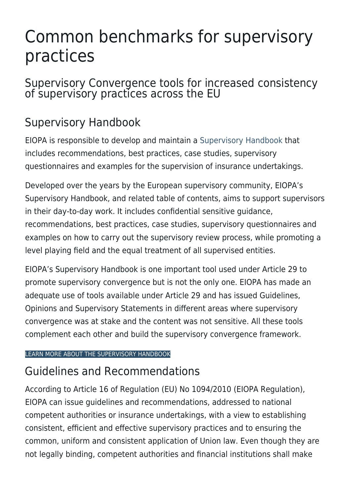# Common benchmarks for supervisory practices

### Supervisory Convergence tools for increased consistency of supervisory practices across the EU

# Supervisory Handbook

EIOPA is responsible to develop and maintain a [Supervisory Handbook](https://www.eiopa.europa.eu/document-library/corporate-documents/supervisory-handbook_en) that includes recommendations, best practices, case studies, supervisory questionnaires and examples for the supervision of insurance undertakings.

Developed over the years by the European supervisory community, EIOPA's Supervisory Handbook, and related table of contents, aims to support supervisors in their day-to-day work. It includes confidential sensitive guidance, recommendations, best practices, case studies, supervisory questionnaires and examples on how to carry out the supervisory review process, while promoting a level playing field and the equal treatment of all supervised entities.

EIOPA's Supervisory Handbook is one important tool used under Article 29 to promote supervisory convergence but is not the only one. EIOPA has made an adequate use of tools available under Article 29 and has issued Guidelines, Opinions and Supervisory Statements in different areas where supervisory convergence was at stake and the content was not sensitive. All these tools complement each other and build the supervisory convergence framework.

#### [LEARN MORE ABOUT THE SUPERVISORY HANDBOOK](https://www.eiopa.europa.eu/document-library/corporate-documents/supervisory-handbook)

### Guidelines and Recommendations

According to Article 16 of Regulation (EU) No 1094/2010 (EIOPA Regulation), EIOPA can issue guidelines and recommendations, addressed to national competent authorities or insurance undertakings, with a view to establishing consistent, efficient and effective supervisory practices and to ensuring the common, uniform and consistent application of Union law. Even though they are not legally binding, competent authorities and financial institutions shall make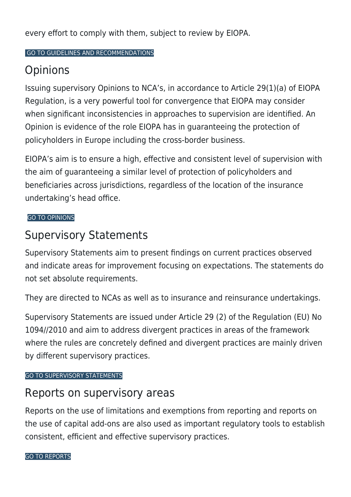every effort to comply with them, subject to review by EIOPA.

#### [GO TO GUIDELINES AND RECOMMENDATIONS](https://www.eiopa.europa.eu/document-library/guidelines)

## **Opinions**

Issuing supervisory Opinions to NCA's, in accordance to Article 29(1)(a) of EIOPA Regulation, is a very powerful tool for convergence that EIOPA may consider when significant inconsistencies in approaches to supervision are identified. An Opinion is evidence of the role EIOPA has in guaranteeing the protection of policyholders in Europe including the cross-border business.

EIOPA's aim is to ensure a high, effective and consistent level of supervision with the aim of guaranteeing a similar level of protection of policyholders and beneficiaries across jurisdictions, regardless of the location of the insurance undertaking's head office.

#### [GO TO OPINIONS](https://www.eiopa.europa.eu/document-library/opinions_en)

### Supervisory Statements

Supervisory Statements aim to present findings on current practices observed and indicate areas for improvement focusing on expectations. The statements do not set absolute requirements.

They are directed to NCAs as well as to insurance and reinsurance undertakings.

Supervisory Statements are issued under Article 29 (2) of the Regulation (EU) No 1094//2010 and aim to address divergent practices in areas of the framework where the rules are concretely defined and divergent practices are mainly driven by different supervisory practices.

#### [GO TO SUPERVISORY STATEMENTS](https://www.eiopa.europa.eu/document-library/supervisory-statements-0_en)

### Reports on supervisory areas

Reports on the use of limitations and exemptions from reporting and reports on the use of capital add-ons are also used as important regulatory tools to establish consistent, efficient and effective supervisory practices.